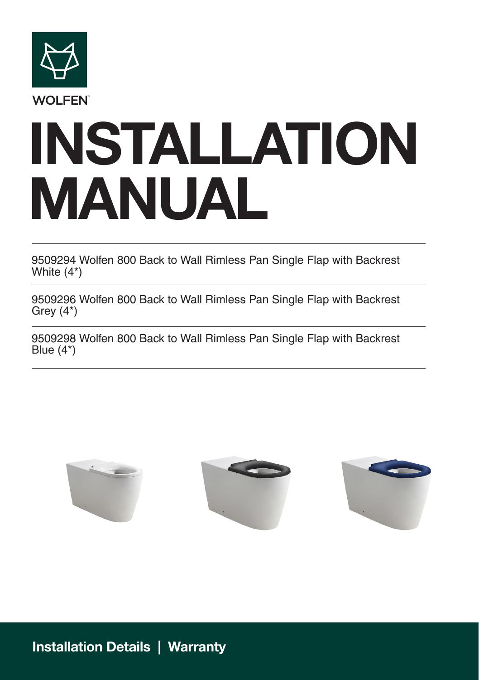

# **INSTALLATION MANUAL**

9509294 Wolfen 800 Back to Wall Rimless Pan Single Flap with Backrest White (4\*)

9509296 Wolfen 800 Back to Wall Rimless Pan Single Flap with Backrest Grey (4\*)

9509298 Wolfen 800 Back to Wall Rimless Pan Single Flap with Backrest Blue (4\*)



**Installation Details | Warranty**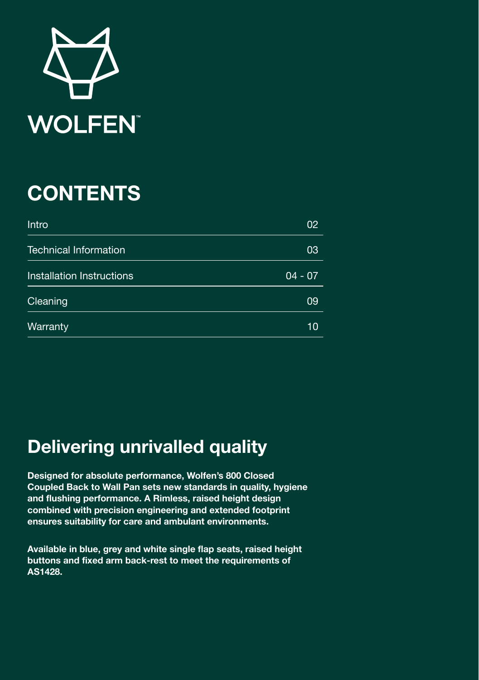

### **CONTENTS**

| Intro                        | 02        |
|------------------------------|-----------|
| <b>Technical Information</b> | 03        |
| Installation Instructions    | $04 - 07$ |
| Cleaning                     | 09        |
| Warranty                     | 10        |

### **Delivering unrivalled quality**

**Designed for absolute performance, Wolfen's 800 Closed Coupled Back to Wall Pan sets new standards in quality, hygiene and flushing performance. A Rimless, raised height design combined with precision engineering and extended footprint ensures suitability for care and ambulant environments.** 

**Available in blue, grey and white single flap seats, raised height buttons and fixed arm back-rest to meet the requirements of AS1428.**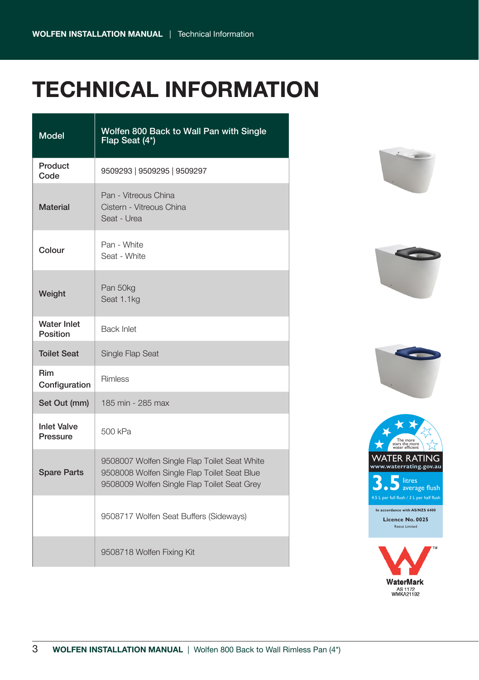# **TECHNICAL INFORMATION**

| <b>Model</b>                   | Wolfen 800 Back to Wall Pan with Single<br>Flap Seat (4*)                                                                                  |  |
|--------------------------------|--------------------------------------------------------------------------------------------------------------------------------------------|--|
| Product<br>Code                | 9509293   9509295   9509297                                                                                                                |  |
| <b>Material</b>                | Pan - Vitreous China<br>Cistern - Vitreous China<br>Seat - Urea                                                                            |  |
| Colour                         | Pan - White<br>Seat - White                                                                                                                |  |
| Weight                         | Pan 50kg<br>Seat 1.1kg                                                                                                                     |  |
| <b>Water Inlet</b><br>Position | <b>Back Inlet</b>                                                                                                                          |  |
| <b>Toilet Seat</b>             | Single Flap Seat                                                                                                                           |  |
| Rim<br>Configuration           | <b>Rimless</b>                                                                                                                             |  |
| Set Out (mm)                   | 185 min - 285 max                                                                                                                          |  |
| <b>Inlet Valve</b><br>Pressure | 500 kPa                                                                                                                                    |  |
| <b>Spare Parts</b>             | 9508007 Wolfen Single Flap Toilet Seat White<br>9508008 Wolfen Single Flap Toilet Seat Blue<br>9508009 Wolfen Single Flap Toilet Seat Grey |  |
|                                | 9508717 Wolfen Seat Buffers (Sideways)                                                                                                     |  |
|                                | 9508718 Wolfen Fixing Kit                                                                                                                  |  |









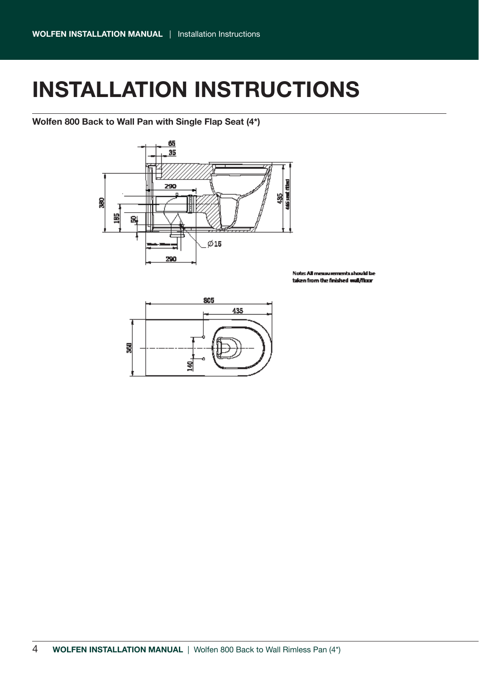### **INSTALLATION INSTRUCTIONS**

**Wolfen 800 Back to Wall Pan with Single Flap Seat (4\*)**



Neder All map nte checchi ha taken from the finished wall/floor

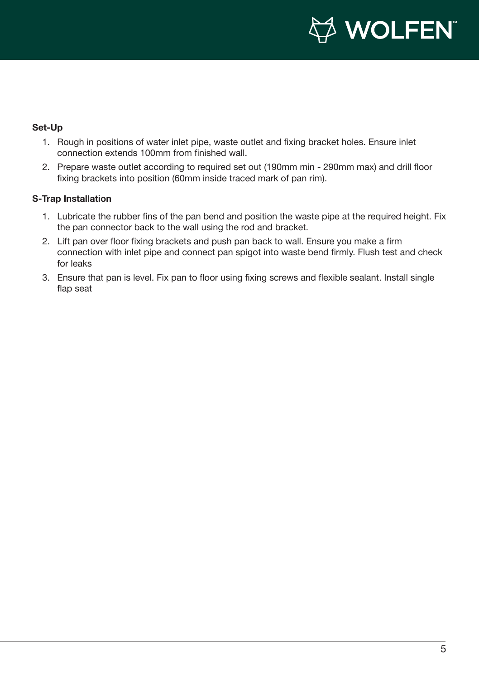

#### **Set-Up**

- 1. Rough in positions of water inlet pipe, waste outlet and fixing bracket holes. Ensure inlet connection extends 100mm from finished wall.
- 2. Prepare waste outlet according to required set out (190mm min 290mm max) and drill floor fixing brackets into position (60mm inside traced mark of pan rim).

#### **S-Trap Installation**

- 1. Lubricate the rubber fins of the pan bend and position the waste pipe at the required height. Fix the pan connector back to the wall using the rod and bracket.
- 2. Lift pan over floor fixing brackets and push pan back to wall. Ensure you make a firm connection with inlet pipe and connect pan spigot into waste bend firmly. Flush test and check for leaks
- 3. Ensure that pan is level. Fix pan to floor using fixing screws and flexible sealant. Install single flap seat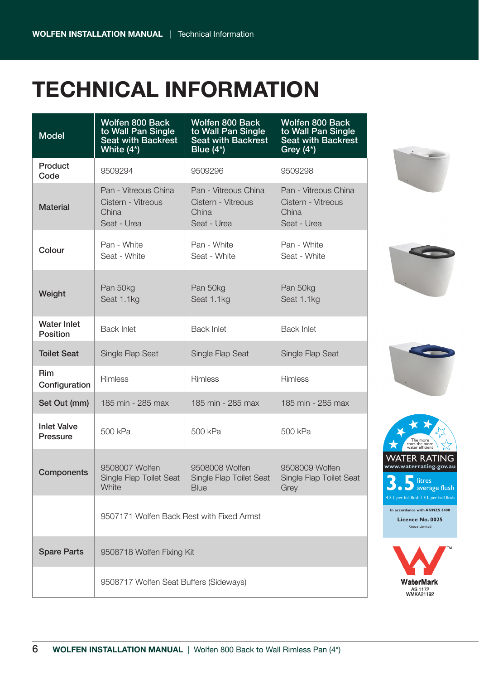## **TECHNICAL INFORMATION**

| <b>Model</b>                   | Wolfen 800 Back<br>to Wall Pan Single<br>Seat with Backrest<br>White (4*) | Wolfen 800 Back<br>to Wall Pan Single<br>Seat with Backrest<br>Blue (4*) | Wolfen 800 Back<br>to Wall Pan Single<br>Seat with Backrest<br>Grey $(4^*)$ |
|--------------------------------|---------------------------------------------------------------------------|--------------------------------------------------------------------------|-----------------------------------------------------------------------------|
| Product<br>Code                | 9509294                                                                   | 9509296                                                                  | 9509298                                                                     |
| Material                       | Pan - Vitreous China<br>Cistern - Vitreous<br>China<br>Seat - Urea        | Pan - Vitreous China<br>Cistern - Vitreous<br>China<br>Seat - Urea       | Pan - Vitreous China<br>Cistern - Vitreous<br>China<br>Seat - Urea          |
| Colour                         | Pan - White<br>Seat - White                                               | Pan - White<br>Seat - White                                              | Pan - White<br>Seat - White                                                 |
| Weight                         | Pan 50kg<br>Seat 1.1kg                                                    | Pan 50kg<br>Seat 1.1kg                                                   | Pan 50kg<br>Seat 1.1kg                                                      |
| Water Inlet<br>Position        | <b>Back Inlet</b>                                                         | <b>Back Inlet</b>                                                        | <b>Back Inlet</b>                                                           |
| <b>Toilet Seat</b>             | Single Flap Seat                                                          | Single Flap Seat                                                         | Single Flap Seat                                                            |
| Rim<br>Configuration           | Rimless                                                                   | Rimless                                                                  | Rimless                                                                     |
| Set Out (mm)                   | 185 min - 285 max                                                         | 185 min - 285 max                                                        | 185 min - 285 max                                                           |
| <b>Inlet Valve</b><br>Pressure | 500 kPa                                                                   | 500 kPa                                                                  | 500 kPa                                                                     |
| Components                     | 9508007 Wolfen<br>Single Flap Toilet Seat<br>White                        | 9508008 Wolfen<br>Single Flap Toilet Seat<br>Blue                        | 9508009 Wolfen<br>Single Flap Toilet Seat<br>Grey                           |
|                                | 9507171 Wolfen Back Rest with Fixed Armst                                 |                                                                          |                                                                             |
| <b>Spare Parts</b>             | 9508718 Wolfen Fixing Kit                                                 |                                                                          |                                                                             |
|                                | 9508717 Wolfen Seat Buffers (Sideways)                                    |                                                                          |                                                                             |









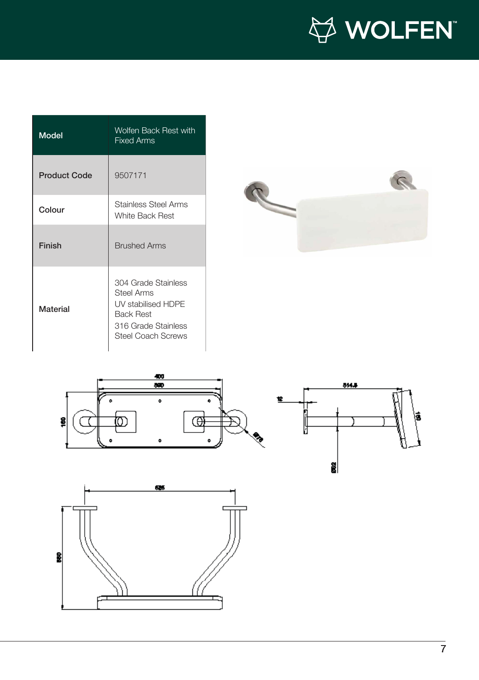

| Model               | Wolfen Back Rest with<br><b>Fixed Arms</b>                                                                                             |
|---------------------|----------------------------------------------------------------------------------------------------------------------------------------|
| <b>Product Code</b> | 9507171                                                                                                                                |
| Colour              | <b>Stainless Steel Arms</b><br>White Back Rest                                                                                         |
| Finish              | <b>Brushed Arms</b>                                                                                                                    |
| Material            | 304 Grade Stainless<br><b>Steel Arms</b><br>UV stabilised HDPF<br><b>Back Rest</b><br>316 Grade Stainless<br><b>Steel Coach Screws</b> |



ã



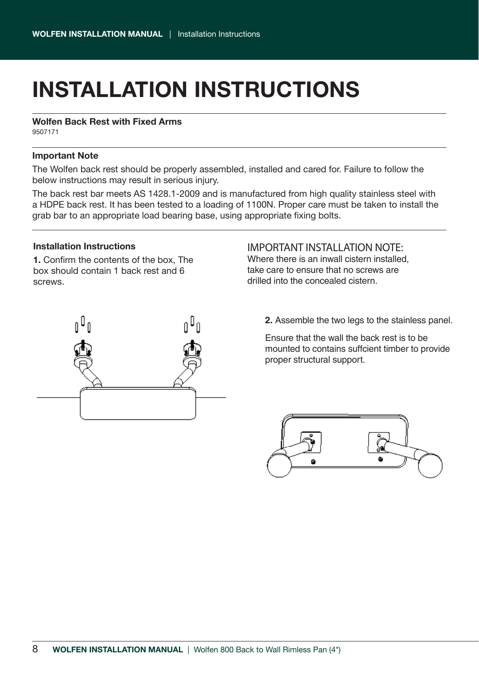# **INSTALLATION INSTRUCTIONS**

**Wolfen Back Rest with Fixed Arms**

9507171

#### **Important Note**

The Wolfen back rest should be properly assembled, installed and cared for. Failure to follow the below instructions may result in serious injury.

The back rest bar meets AS 1428.1-2009 and is manufactured from high quality stainless steel with a HDPE back rest. It has been tested to a loading of 1100N. Proper care must be taken to install the grab bar to an appropriate load bearing base, using appropriate fixing bolts.

#### **Installation Instructions**

**1.** Confirm the contents of the box, The box should contain 1 back rest and 6 screws.



#### IMPORTANT INSTALLATION NOTE:

Where there is an inwall cistern installed, take care to ensure that no screws are drilled into the concealed cistern.

**2.** Assemble the two legs to the stainless panel.

Ensure that the wall the back rest is to be mounted to contains suffcient timber to provide proper structural support.

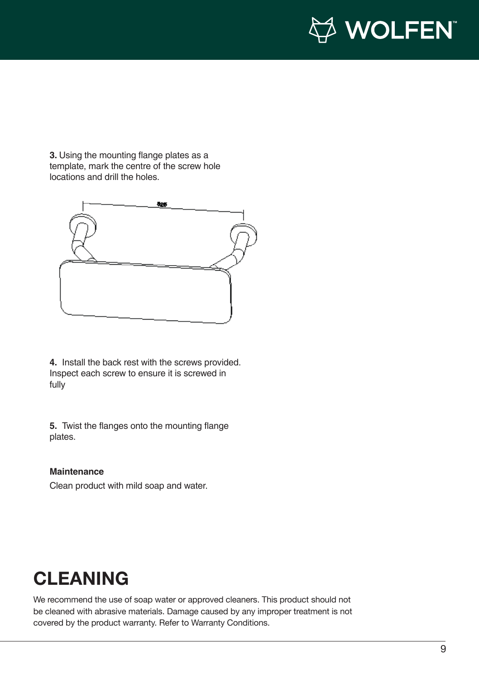

**3.** Using the mounting flange plates as a template, mark the centre of the screw hole locations and drill the holes.



**4.** Install the back rest with the screws provided. Inspect each screw to ensure it is screwed in fully

**5.** Twist the flanges onto the mounting flange plates.

#### **Maintenance**

Clean product with mild soap and water.

### **CLEANING**

We recommend the use of soap water or approved cleaners. This product should not be cleaned with abrasive materials. Damage caused by any improper treatment is not covered by the product warranty. Refer to Warranty Conditions.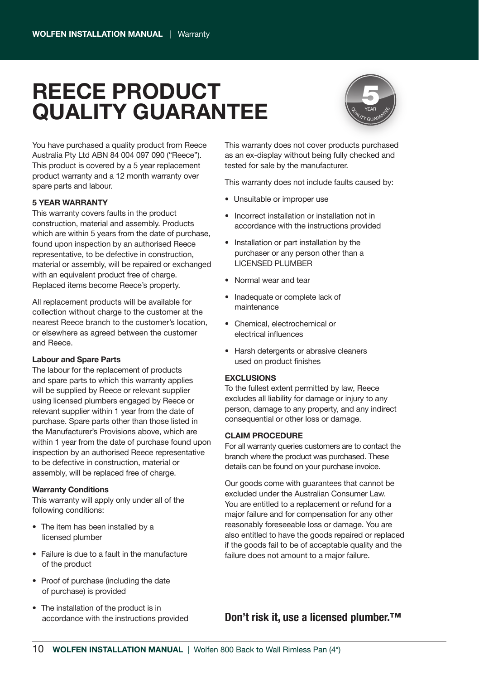### **REECE PRODUCT QUALITY GUARANTEE**



You have purchased a quality product from Reece Australia Pty Ltd ABN 84 004 097 090 ("Reece"). This product is covered by a 5 year replacement product warranty and a 12 month warranty over spare parts and labour.

#### **5 YEAR WARRANTY**

This warranty covers faults in the product construction, material and assembly. Products which are within 5 years from the date of purchase, found upon inspection by an authorised Reece representative, to be defective in construction, material or assembly, will be repaired or exchanged with an equivalent product free of charge. Replaced items become Reece's property.

All replacement products will be available for collection without charge to the customer at the nearest Reece branch to the customer's location, or elsewhere as agreed between the customer and Reece.

#### **Labour and Spare Parts**

The labour for the replacement of products and spare parts to which this warranty applies will be supplied by Reece or relevant supplier using licensed plumbers engaged by Reece or relevant supplier within 1 year from the date of purchase. Spare parts other than those listed in the Manufacturer's Provisions above, which are within 1 year from the date of purchase found upon inspection by an authorised Reece representative to be defective in construction, material or assembly, will be replaced free of charge.

#### **Warranty Conditions**

This warranty will apply only under all of the following conditions:

- The item has been installed by a licensed plumber
- Failure is due to a fault in the manufacture of the product
- Proof of purchase (including the date of purchase) is provided
- The installation of the product is in accordance with the instructions provided

This warranty does not cover products purchased as an ex-display without being fully checked and tested for sale by the manufacturer.

This warranty does not include faults caused by:

- Unsuitable or improper use
- Incorrect installation or installation not in accordance with the instructions provided
- Installation or part installation by the purchaser or any person other than a LICENSED PLUMBER
- Normal wear and tear
- Inadequate or complete lack of maintenance
- Chemical, electrochemical or electrical influences
- Harsh detergents or abrasive cleaners used on product finishes

#### **EXCLUSIONS**

To the fullest extent permitted by law, Reece excludes all liability for damage or injury to any person, damage to any property, and any indirect consequential or other loss or damage.

#### **CLAIM PROCEDURE**

For all warranty queries customers are to contact the branch where the product was purchased. These details can be found on your purchase invoice.

Our goods come with guarantees that cannot be excluded under the Australian Consumer Law. You are entitled to a replacement or refund for a major failure and for compensation for any other reasonably foreseeable loss or damage. You are also entitled to have the goods repaired or replaced if the goods fail to be of acceptable quality and the failure does not amount to a major failure.

#### **Don't risk it, use a licensed plumber.™**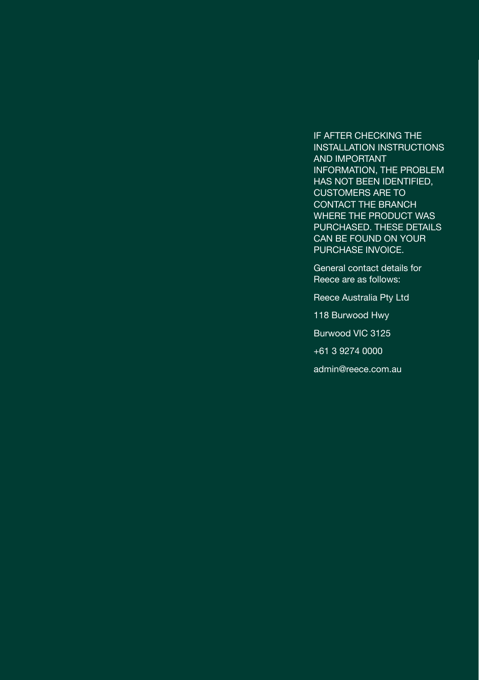IF AFTER CHECKING THE INSTALLATION INSTRUCTIONS AND IMPORTANT INFORMATION, THE PROBLEM HAS NOT BEEN IDENTIFIED, CUSTOMERS ARE TO CONTACT THE BRANCH WHERE THE PRODUCT WAS PURCHASED. THESE DETAILS CAN BE FOUND ON YOUR PURCHASE INVOICE.

General contact details for Reece are as follows:

Reece Australia Pty Ltd

118 Burwood Hwy

Burwood VIC 3125

+61 3 9274 0000

admin@reece.com.au